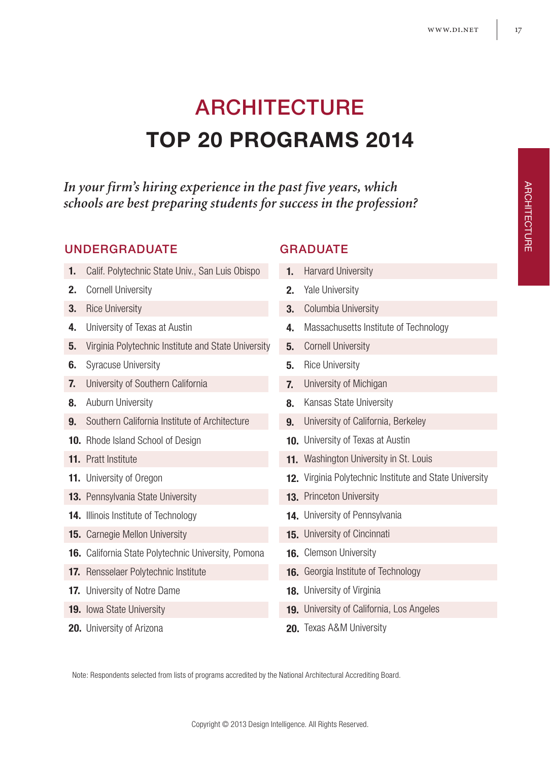# ARCHITECTURE **TOP 20 PROGRAMS 2014**

*In your firm's hiring experience in the past five years, which schools are best preparing students for success in the profession?*

### UNDERGRADUATE GRADUATE

- 1. Calif. Polytechnic State Univ., San Luis Obispo 2. Cornell University **3.** Rice University University of Texas at Austin **4. 5.** Virginia Polytechnic Institute and State University **6.** Syracuse University University of Southern California **7.** Auburn University **8. 9.** Southern California Institute of Architecture 10. Rhode Island School of Design 11. Pratt Institute 11. University of Oregon 13. Pennsylvania State University 14. Illinois Institute of Technology 15. Carnegie Mellon University 16. California State Polytechnic University, Pomona 17. Rensselaer Polytechnic Institute 17. University of Notre Dame 19. Iowa State University
- 20. University of Arizona

Harvard University 2. Yale University **3.** Columbia University Massachusetts Institute of Technology **4. 5.** Cornell University **5.** Rice University University of Michigan **7.** 8. Kansas State University University of California, Berkeley **9.** 10. University of Texas at Austin 11. Washington University in St. Louis 12. Virginia Polytechnic Institute and State University 13. Princeton University 14. University of Pennsylvania 15. University of Cincinnati 16. Clemson University 16. Georgia Institute of Technology 18. University of Virginia 19. University of California, Los Angeles 20. Texas A&M University **1.**

Note: Respondents selected from lists of programs accredited by the National Architectural Accrediting Board.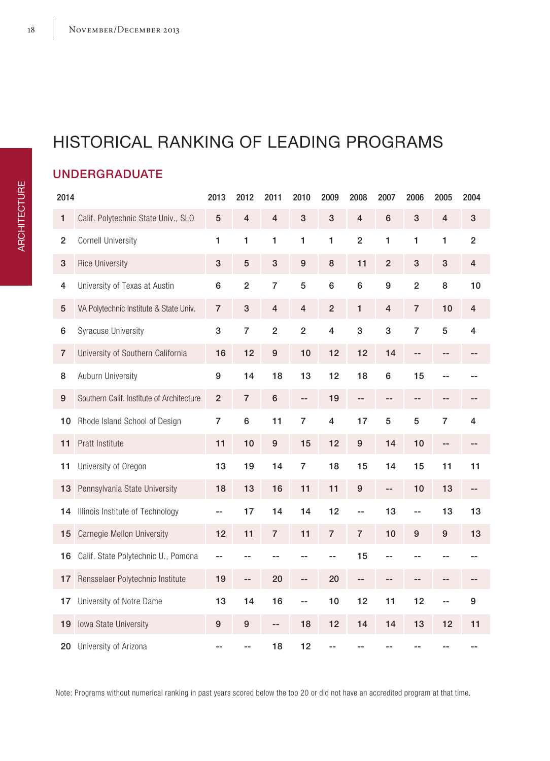# HISTORICAL RANKING OF LEADING PROGRAMS

### UNDERGRADUATE

| 2014           |                                           | 2013           | 2012           | 2011           | 2010           | 2009                    | 2008                    | 2007           | 2006           | 2005           | 2004           |
|----------------|-------------------------------------------|----------------|----------------|----------------|----------------|-------------------------|-------------------------|----------------|----------------|----------------|----------------|
| 1              | Calif. Polytechnic State Univ., SLO       | 5              | $\overline{4}$ | $\overline{4}$ | 3              | 3                       | $\overline{\mathbf{4}}$ | 6              | 3              | $\overline{4}$ | 3              |
| $\overline{2}$ | <b>Cornell University</b>                 | 1              | 1              | 1              | 1              | $\mathbf{1}$            | $\overline{2}$          | 1              | 1              | 1              | $\overline{2}$ |
| 3              | <b>Rice University</b>                    | 3              | 5              | 3              | $9\,$          | 8                       | 11                      | $\overline{2}$ | 3              | 3              | $\overline{4}$ |
| 4              | University of Texas at Austin             | 6              | $\overline{2}$ | $\overline{7}$ | 5              | 6                       | 6                       | 9              | $\overline{2}$ | 8              | 10             |
| 5              | VA Polytechnic Institute & State Univ.    | $\overline{7}$ | 3              | $\overline{4}$ | $\overline{4}$ | $\overline{2}$          | $\mathbf{1}$            | $\overline{4}$ | $\overline{7}$ | 10             | 4              |
| 6              | <b>Syracuse University</b>                | 3              | $\overline{7}$ | $\overline{2}$ | $\overline{2}$ | $\overline{\mathbf{4}}$ | 3                       | 3              | $\overline{7}$ | 5              | 4              |
| $\overline{7}$ | University of Southern California         | 16             | 12             | 9              | 10             | 12                      | 12                      | 14             | --             |                |                |
| 8              | Auburn University                         | 9              | 14             | 18             | 13             | 12                      | 18                      | 6              | 15             |                |                |
| 9              | Southern Calif. Institute of Architecture | $\overline{2}$ | $\overline{7}$ | 6              | --             | 19                      | --                      | --             | --             | --             |                |
| 10             | Rhode Island School of Design             | $\overline{7}$ | 6              | 11             | $\overline{7}$ | $\overline{4}$          | 17                      | 5              | 5              | $\overline{7}$ | 4              |
| 11             | Pratt Institute                           | 11             | 10             | 9              | 15             | 12                      | 9                       | 14             | 10             | $-$            | --             |
| 11             | University of Oregon                      | 13             | 19             | 14             | $\overline{7}$ | 18                      | 15                      | 14             | 15             | 11             | 11             |
| 13             | Pennsylvania State University             | 18             | 13             | 16             | 11             | 11                      | 9                       | --             | 10             | 13             | --             |
| 14             | Illinois Institute of Technology          | --             | 17             | 14             | 14             | 12                      | --                      | 13             | $-$            | 13             | 13             |
| 15             | Carnegie Mellon University                | 12             | 11             | $\overline{7}$ | 11             | $\overline{7}$          | $\overline{7}$          | 10             | 9              | 9              | 13             |
| 16             | Calif. State Polytechnic U., Pomona       | --             | $-$            |                | $-$            | --                      | 15                      | --             |                |                |                |
| 17             | Rensselaer Polytechnic Institute          | 19             | --             | 20             | --             | 20                      | --                      | --             | --             |                |                |
| 17             | University of Notre Dame                  | 13             | 14             | 16             | --             | 10                      | 12                      | 11             | 12             | $-$            | 9              |
| 19             | Iowa State University                     | 9              | 9              | --             | 18             | 12                      | 14                      | 14             | 13             | 12             | 11             |
| 20             | University of Arizona                     |                |                | 18             | 12             |                         |                         |                |                |                |                |

Note: Programs without numerical ranking in past years scored below the top 20 or did not have an accredited program at that time.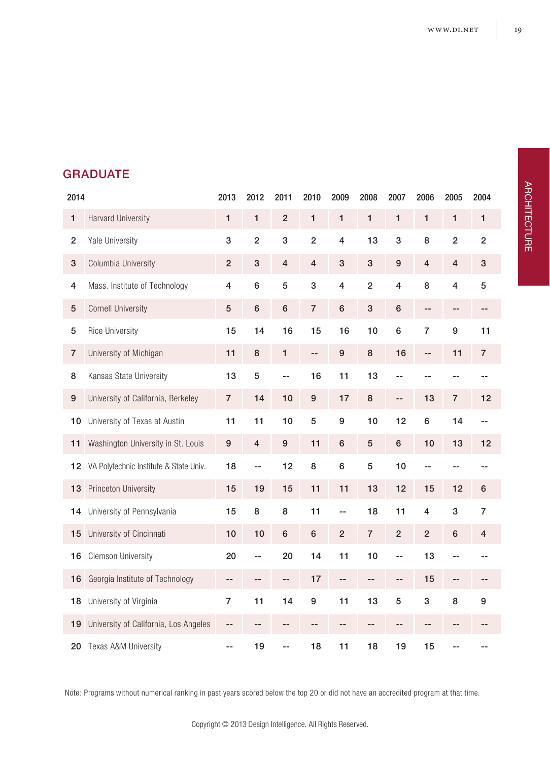### **GRADUATE**

| 2014           |                                        | 2013           | 2012           | 2011           | 2010           | 2009           | 2008              | 2007            | 2006           | 2005           | 2004           |
|----------------|----------------------------------------|----------------|----------------|----------------|----------------|----------------|-------------------|-----------------|----------------|----------------|----------------|
| 1              | <b>Harvard University</b>              | 1              | 1              | $\overline{2}$ | 1              | $\mathbf{1}$   | 1                 | 1               | 1              | 1              | 1              |
| $\overline{2}$ | Yale University                        | 3              | $\overline{2}$ | 3              | $\overline{2}$ | $\overline{4}$ | 13                | 3               | 8              | $\overline{2}$ | $\overline{2}$ |
| 3              | Columbia University                    | $\overline{2}$ | 3              | $\overline{4}$ | $\overline{4}$ | 3              | 3                 | 9               | $\overline{4}$ | $\overline{4}$ | 3              |
| 4              | Mass. Institute of Technology          | $\overline{4}$ | 6              | 5              | 3              | $\overline{4}$ | $\overline{2}$    | $\overline{4}$  | 8              | $\overline{4}$ | 5              |
| 5              | <b>Cornell University</b>              | 5              | 6              | 6              | $\overline{7}$ | 6              | 3                 | 6               | --             | --             | --             |
| 5              | <b>Rice University</b>                 | 15             | 14             | 16             | 15             | 16             | 10                | 6               | $\overline{7}$ | 9              | 11             |
| $\overline{7}$ | University of Michigan                 | 11             | 8              | $\mathbf{1}$   | $-$            | 9              | 8                 | 16              | --             | 11             | $\overline{7}$ |
| 8              | Kansas State University                | 13             | 5              | --             | 16             | 11             | 13                | --              |                | --             |                |
| 9              | University of California, Berkeley     | $\overline{7}$ | 14             | 10             | 9              | 17             | 8                 | $-$             | 13             | $\overline{7}$ | 12             |
| 10             | University of Texas at Austin          | 11             | 11             | 10             | 5              | 9              | 10                | 12              | 6              | 14             | --             |
| 11             | Washington University in St. Louis     | 9              | $\overline{4}$ | 9              | 11             | 6              | 5                 | $6\phantom{1}6$ | 10             | 13             | 12             |
| 12             | VA Polytechnic Institute & State Univ. | 18             | $-$            | 12             | 8              | 6              | 5                 | 10              | $-$            |                |                |
| 13             | Princeton University                   | 15             | 19             | 15             | 11             | 11             | 13                | 12              | 15             | 12             | 6              |
| 14             | University of Pennsylvania             | 15             | 8              | 8              | 11             | --             | 18                | 11              | 4              | 3              | $\overline{7}$ |
| 15             | University of Cincinnati               | 10             | 10             | 6              | 6              | $\overline{2}$ | $\overline{7}$    | $\overline{2}$  | $\overline{2}$ | 6              | 4              |
| 16             | <b>Clemson University</b>              | 20             | --             | 20             | 14             | 11             | 10                | --              | 13             | ٠.             |                |
| 16             | Georgia Institute of Technology        | --             | --             | --             | 17             | --             | $\qquad \qquad -$ | --              | 15             | --             | --             |
| 18             | University of Virginia                 | $\overline{7}$ | 11             | 14             | 9              | 11             | 13                | 5               | 3              | 8              | 9              |
| 19             | University of California, Los Angeles  | --             |                |                | --             | --             | --                |                 | --             |                |                |
| 20             | Texas A&M University                   | --             | 19             | --             | 18             | 11             | 18                | 19              | 15             |                |                |

Note: Programs without numerical ranking in past years scored below the top 20 or did not have an accredited program at that time.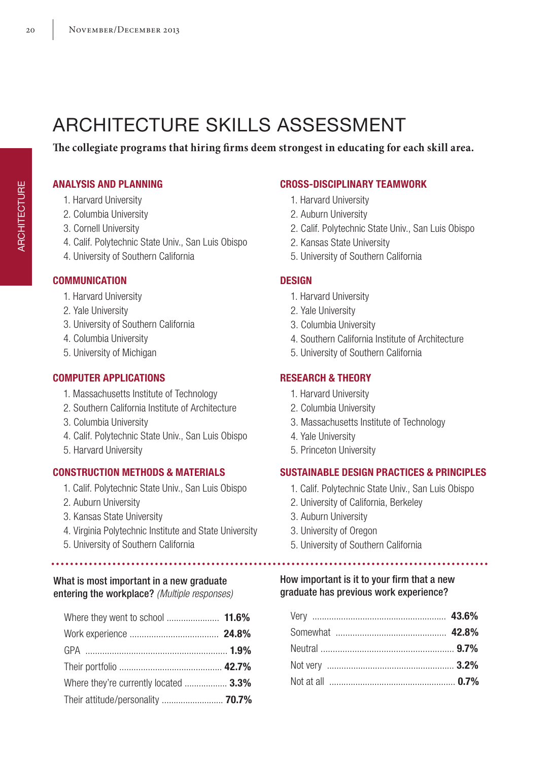# ARCHITECTURE SKILLS ASSESSMENT

**The collegiate programs that hiring firms deem strongest in educating for each skill area.**

### **ANALYSIS AND PLANNING**

- 1. Harvard University
- 2. Columbia University
- 3. Cornell University
- 4. Calif. Polytechnic State Univ., San Luis Obispo
- 4. University of Southern California

### **COMMUNICATION**

- 1. Harvard University
- 2. Yale University
- 3. University of Southern California
- 4. Columbia University
- 5. University of Michigan

### **COMPUTER APPLICATIONS**

- 1. Massachusetts Institute of Technology
- 2. Southern California Institute of Architecture
- 3. Columbia University
- 4. Calif. Polytechnic State Univ., San Luis Obispo
- 5. Harvard University

### **CONSTRUCTION METHODS & MATERIALS**

- 1. Calif. Polytechnic State Univ., San Luis Obispo
- 2. Auburn University

.....................

- 3. Kansas State University
- 4. Virginia Polytechnic Institute and State University
- 5. University of Southern California

### What is most important in a new graduate entering the workplace? *(Multiple responses)*

| Where they're currently located  3.3% |  |
|---------------------------------------|--|
| Their attitude/personality  70.7%     |  |

### **CROSS-DISCIPLINARY TEAMWORK**

- 1. Harvard University
- 2. Auburn University
- 2. Calif. Polytechnic State Univ., San Luis Obispo
- 2. Kansas State University
- 5. University of Southern California

### **DESIGN**

- 1. Harvard University
- 2. Yale University
- 3. Columbia University
- 4. Southern California Institute of Architecture
- 5. University of Southern California

### **RESEARCH & THEORY**

- 1. Harvard University
- 2. Columbia University
- 3. Massachusetts Institute of Technology
- 4. Yale University
- 5. Princeton University

### **SUSTAINABLE DESIGN PRACTICES & PRINCIPLES**

- 1. Calif. Polytechnic State Univ., San Luis Obispo
- 2. University of California, Berkeley
- 3. Auburn University
- 3. University of Oregon
- 5. University of Southern California

### How important is it to your firm that a new graduate has previous work experience?

. . . . . . . . . . . . . . . . .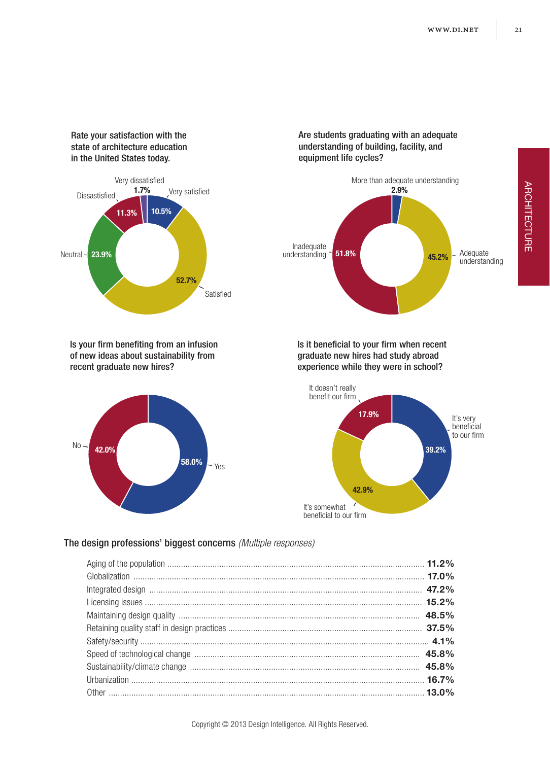Rate your satisfaction with the state of architecture education in the United States today.



Is your firm benefiting from an infusion of new ideas about sustainability from recent graduate new hires?



Are students graduating with an adequate understanding of building, facility, and equipment life cycles?



Is it beneficial to your firm when recent graduate new hires had study abroad experience while they were in school?



#### The design professions' biggest concerns *(Multiple responses)*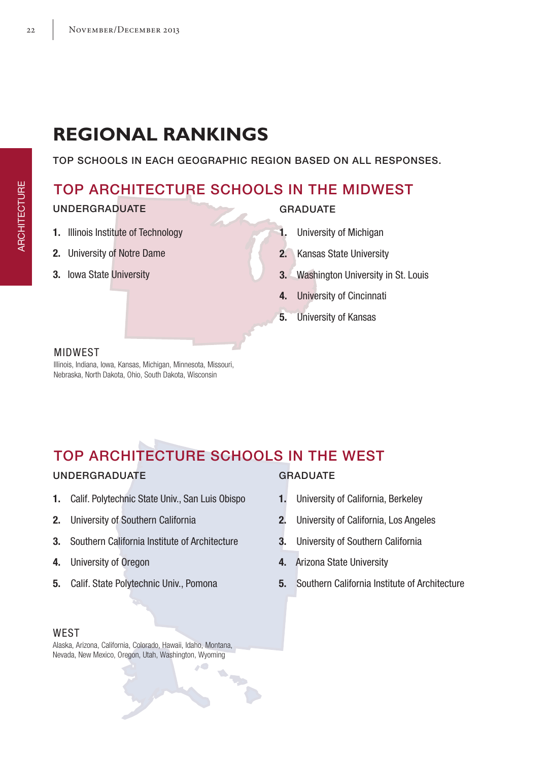# **REGIONAL RANKINGS**

TOP SCHOOLS IN EACH GEOGRAPHIC REGION BASED ON ALL RESPONSES.

### TOP ARCHITECTURE SCHOOLS IN THE MIDWEST

### UNDERGRADUATE

- **1.** Illinois Institute of Technology
- **2.** University of Notre Dame
- **3.** Iowa State University

### GRADUATE

- **1.** University of Michigan
- **2.** Kansas State University
- **3.** Washington University in St. Louis
- **4.** University of Cincinnati
- **5.** University of Kansas

### MIDWEST

Illinois, Indiana, Iowa, Kansas, Michigan, Minnesota, Missouri, Nebraska, North Dakota, Ohio, South Dakota, Wisconsin

## TOP ARCHITECTURE SCHOOLS IN THE WEST

 $\sim$   $\sim$ Ó

### UNDERGRADUATE

- **1.** Calif. Polytechnic State Univ., San Luis Obispo
- **2.** University of Southern California
- **3.** Southern California Institute of Architecture
- **4.** University of Oregon
- **5.** Calif. State Polytechnic Univ., Pomona

#### **WEST**

Alaska, Arizona, California, Colorado, Hawaii, Idaho, Montana, Nevada, New Mexico, Oregon, Utah, Washington, Wyoming

### **GRADUATE**

- **1.** University of California, Berkeley
- **2.** University of California, Los Angeles
- **3.** University of Southern California
- **4.** Arizona State University
- **5.** Southern California Institute of Architecture